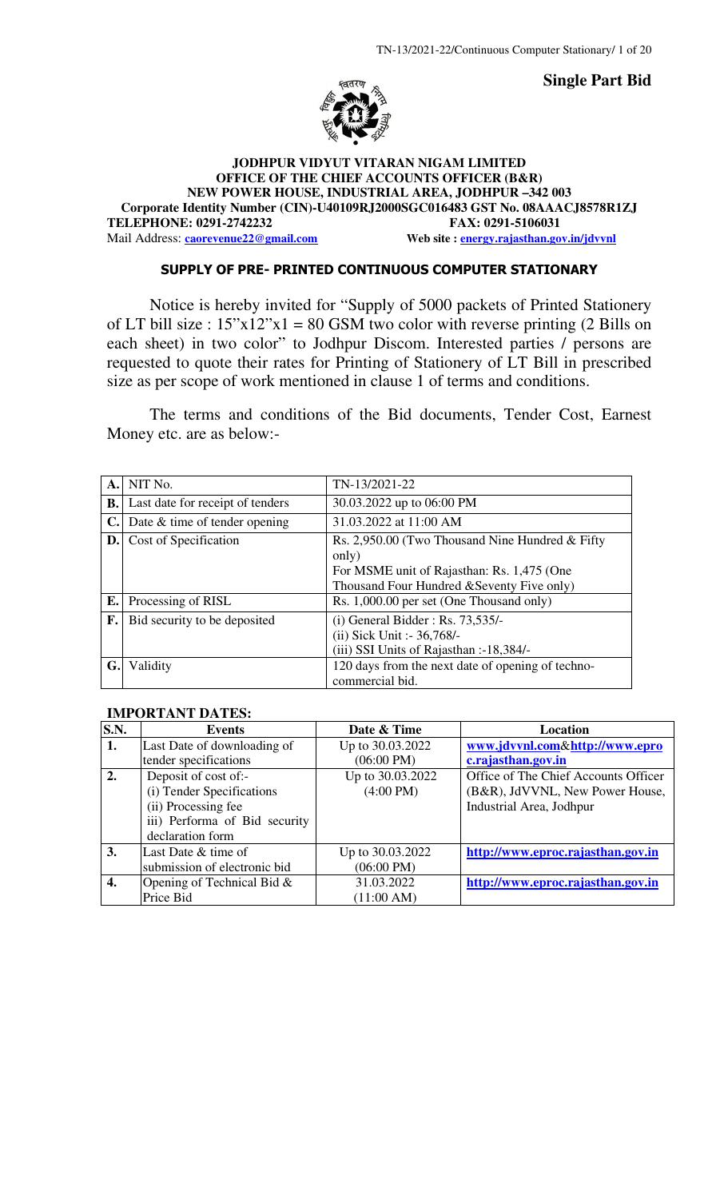**Single Part Bid** 



### **JODHPUR VIDYUT VITARAN NIGAM LIMITED OFFICE OF THE CHIEF ACCOUNTS OFFICER (B&R) NEW POWER HOUSE, INDUSTRIAL AREA, JODHPUR –342 003 Corporate Identity Number (CIN)-U40109RJ2000SGC016483 GST No. 08AAACJ8578R1ZJ TELEPHONE: 0291-2742232 FAX: 0291-5106031**  Mail Address: **caorevenue22@gmail.com** Web site : **energy.rajasthan.gov.in/jdvvnl**

### SUPPLY OF PRE- PRINTED CONTINUOUS COMPUTER STATIONARY

Notice is hereby invited for "Supply of 5000 packets of Printed Stationery of LT bill size :  $15"x12"x1 = 80$  GSM two color with reverse printing (2 Bills on each sheet) in two color" to Jodhpur Discom. Interested parties / persons are requested to quote their rates for Printing of Stationery of LT Bill in prescribed size as per scope of work mentioned in clause 1 of terms and conditions.

The terms and conditions of the Bid documents, Tender Cost, Earnest Money etc. are as below:-

| $\mathbf{A}$ . | NIT No.                          | TN-13/2021-22                                                                                                                                         |
|----------------|----------------------------------|-------------------------------------------------------------------------------------------------------------------------------------------------------|
| В.             | Last date for receipt of tenders | 30.03.2022 up to 06:00 PM                                                                                                                             |
| $\mathbf{C}$ . | Date $&$ time of tender opening  | 31.03.2022 at 11:00 AM                                                                                                                                |
| $\mathbf{D}$ . | Cost of Specification            | Rs. 2,950.00 (Two Thousand Nine Hundred & Fifty)<br>only)<br>For MSME unit of Rajasthan: Rs. 1,475 (One<br>Thousand Four Hundred & Seventy Five only) |
| $E_{\bullet}$  | Processing of RISL               | Rs. 1,000.00 per set (One Thousand only)                                                                                                              |
| F.             | Bid security to be deposited     | $(i)$ General Bidder: Rs. 73,535/-<br>(ii) Sick Unit :- 36,768/-<br>(iii) SSI Units of Rajasthan :-18,384/-                                           |
| G.             | Validity                         | 120 days from the next date of opening of techno-<br>commercial bid.                                                                                  |

### **IMPORTANT DATES:**

| S.N.             | <b>Events</b>                 | Date & Time          | Location                             |
|------------------|-------------------------------|----------------------|--------------------------------------|
| 1.               | Last Date of downloading of   | Up to 30.03.2022     | www.jdvvnl.com&http://www.epro       |
|                  | tender specifications         | $(06:00 \text{ PM})$ | c.rajasthan.gov.in                   |
| $\overline{2}$ . | Deposit of cost of:-          | Up to 30.03.2022     | Office of The Chief Accounts Officer |
|                  | (i) Tender Specifications     | $(4:00 \text{ PM})$  | (B&R), JdVVNL, New Power House,      |
|                  | (ii) Processing fee           |                      | Industrial Area, Jodhpur             |
|                  | iii) Performa of Bid security |                      |                                      |
|                  | declaration form              |                      |                                      |
| 3.               | Last Date & time of           | Up to 30.03.2022     | http://www.eproc.rajasthan.gov.in    |
|                  | submission of electronic bid  | $(06:00 \text{ PM})$ |                                      |
| 4.               | Opening of Technical Bid $\&$ | 31.03.2022           | http://www.eproc.rajasthan.gov.in    |
|                  | Price Bid                     | (11:00 AM)           |                                      |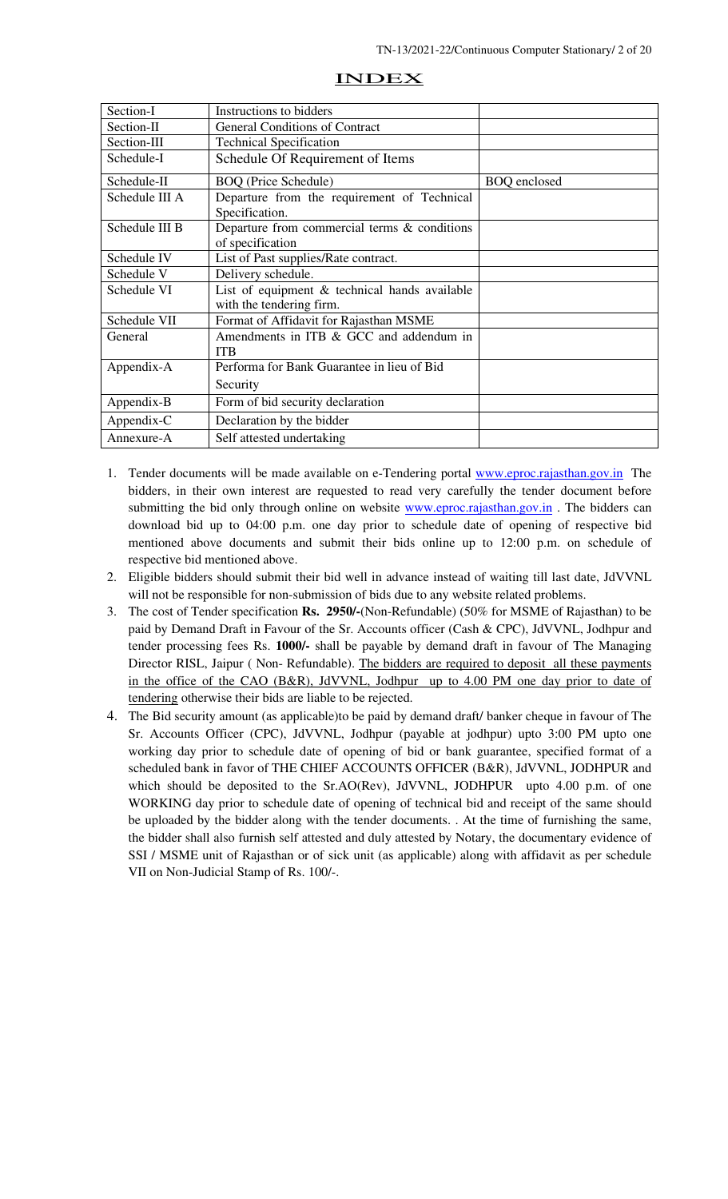| Section-I      | Instructions to bidders                          |                     |
|----------------|--------------------------------------------------|---------------------|
| Section-II     | <b>General Conditions of Contract</b>            |                     |
| Section-III    | <b>Technical Specification</b>                   |                     |
| Schedule-I     | Schedule Of Requirement of Items                 |                     |
| Schedule-II    | <b>BOQ</b> (Price Schedule)                      | <b>BOQ</b> enclosed |
| Schedule III A | Departure from the requirement of Technical      |                     |
|                | Specification.                                   |                     |
| Schedule III B | Departure from commercial terms $\&$ conditions  |                     |
|                | of specification                                 |                     |
| Schedule IV    | List of Past supplies/Rate contract.             |                     |
| Schedule V     | Delivery schedule.                               |                     |
| Schedule VI    | List of equipment $\&$ technical hands available |                     |
|                | with the tendering firm.                         |                     |
| Schedule VII   | Format of Affidavit for Rajasthan MSME           |                     |
| General        | Amendments in ITB & GCC and addendum in          |                     |
|                | <b>ITB</b>                                       |                     |
| Appendix-A     | Performa for Bank Guarantee in lieu of Bid       |                     |
|                | Security                                         |                     |
| Appendix-B     | Form of bid security declaration                 |                     |
| Appendix-C     | Declaration by the bidder                        |                     |
| Annexure-A     | Self attested undertaking                        |                     |

### INDEX

- 1. Tender documents will be made available on e-Tendering portal www.eproc.rajasthan.gov.in The bidders, in their own interest are requested to read very carefully the tender document before submitting the bid only through online on website **www.eproc.rajasthan.gov.in**. The bidders can download bid up to 04:00 p.m. one day prior to schedule date of opening of respective bid mentioned above documents and submit their bids online up to 12:00 p.m. on schedule of respective bid mentioned above.
- 2. Eligible bidders should submit their bid well in advance instead of waiting till last date, JdVVNL will not be responsible for non-submission of bids due to any website related problems.
- 3. The cost of Tender specification **Rs. 2950/-**(Non-Refundable) (50% for MSME of Rajasthan) to be paid by Demand Draft in Favour of the Sr. Accounts officer (Cash & CPC), JdVVNL, Jodhpur and tender processing fees Rs. **1000/-** shall be payable by demand draft in favour of The Managing Director RISL, Jaipur (Non-Refundable). The bidders are required to deposit all these payments in the office of the CAO (B&R), JdVVNL, Jodhpur up to 4.00 PM one day prior to date of tendering otherwise their bids are liable to be rejected.
- 4. The Bid security amount (as applicable)to be paid by demand draft/ banker cheque in favour of The Sr. Accounts Officer (CPC), JdVVNL, Jodhpur (payable at jodhpur) upto 3:00 PM upto one working day prior to schedule date of opening of bid or bank guarantee, specified format of a scheduled bank in favor of THE CHIEF ACCOUNTS OFFICER (B&R), JdVVNL, JODHPUR and which should be deposited to the Sr.AO(Rev), JdVVNL, JODHPUR upto 4.00 p.m. of one WORKING day prior to schedule date of opening of technical bid and receipt of the same should be uploaded by the bidder along with the tender documents. . At the time of furnishing the same, the bidder shall also furnish self attested and duly attested by Notary, the documentary evidence of SSI / MSME unit of Rajasthan or of sick unit (as applicable) along with affidavit as per schedule VII on Non-Judicial Stamp of Rs. 100/-.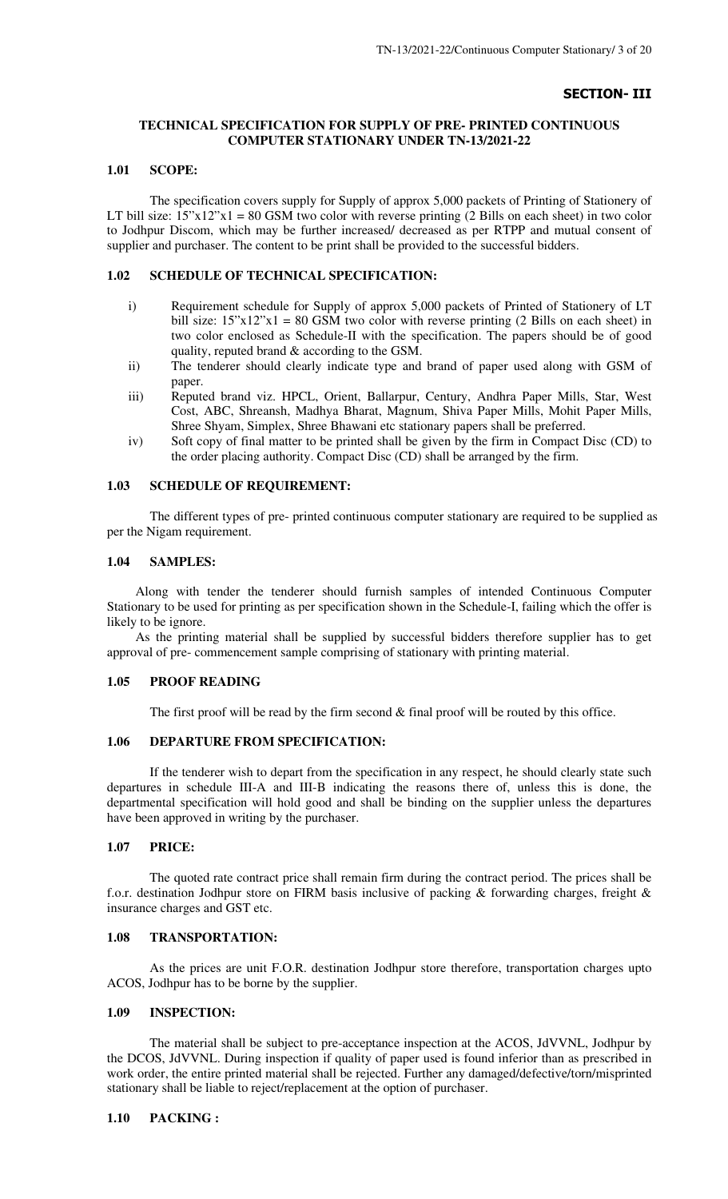### SECTION- III

### **TECHNICAL SPECIFICATION FOR SUPPLY OF PRE- PRINTED CONTINUOUS COMPUTER STATIONARY UNDER TN-13/2021-22**

#### **1.01 SCOPE:**

The specification covers supply for Supply of approx 5,000 packets of Printing of Stationery of LT bill size:  $15"x12"x1 = 80$  GSM two color with reverse printing (2 Bills on each sheet) in two color to Jodhpur Discom, which may be further increased/ decreased as per RTPP and mutual consent of supplier and purchaser. The content to be print shall be provided to the successful bidders.

#### **1.02 SCHEDULE OF TECHNICAL SPECIFICATION:**

- i) Requirement schedule for Supply of approx 5,000 packets of Printed of Stationery of LT bill size:  $15"x12"x1 = 80$  GSM two color with reverse printing (2 Bills on each sheet) in two color enclosed as Schedule-II with the specification. The papers should be of good quality, reputed brand & according to the GSM.
- ii) The tenderer should clearly indicate type and brand of paper used along with GSM of paper.
- iii) Reputed brand viz. HPCL, Orient, Ballarpur, Century, Andhra Paper Mills, Star, West Cost, ABC, Shreansh, Madhya Bharat, Magnum, Shiva Paper Mills, Mohit Paper Mills, Shree Shyam, Simplex, Shree Bhawani etc stationary papers shall be preferred.
- iv) Soft copy of final matter to be printed shall be given by the firm in Compact Disc (CD) to the order placing authority. Compact Disc (CD) shall be arranged by the firm.

#### **1.03 SCHEDULE OF REQUIREMENT:**

The different types of pre- printed continuous computer stationary are required to be supplied as per the Nigam requirement.

#### **1.04 SAMPLES:**

Along with tender the tenderer should furnish samples of intended Continuous Computer Stationary to be used for printing as per specification shown in the Schedule-I, failing which the offer is likely to be ignore.

As the printing material shall be supplied by successful bidders therefore supplier has to get approval of pre- commencement sample comprising of stationary with printing material.

#### **1.05 PROOF READING**

The first proof will be read by the firm second  $&$  final proof will be routed by this office.

### **1.06 DEPARTURE FROM SPECIFICATION:**

 If the tenderer wish to depart from the specification in any respect, he should clearly state such departures in schedule III-A and III-B indicating the reasons there of, unless this is done, the departmental specification will hold good and shall be binding on the supplier unless the departures have been approved in writing by the purchaser.

#### **1.07 PRICE:**

The quoted rate contract price shall remain firm during the contract period. The prices shall be f.o.r. destination Jodhpur store on FIRM basis inclusive of packing  $\&$  forwarding charges, freight  $\&$ insurance charges and GST etc.

### **1.08 TRANSPORTATION:**

As the prices are unit F.O.R. destination Jodhpur store therefore, transportation charges upto ACOS, Jodhpur has to be borne by the supplier.

#### **1.09 INSPECTION:**

The material shall be subject to pre-acceptance inspection at the ACOS, JdVVNL, Jodhpur by the DCOS, JdVVNL. During inspection if quality of paper used is found inferior than as prescribed in work order, the entire printed material shall be rejected. Further any damaged/defective/torn/misprinted stationary shall be liable to reject/replacement at the option of purchaser.

#### **1.10 PACKING :**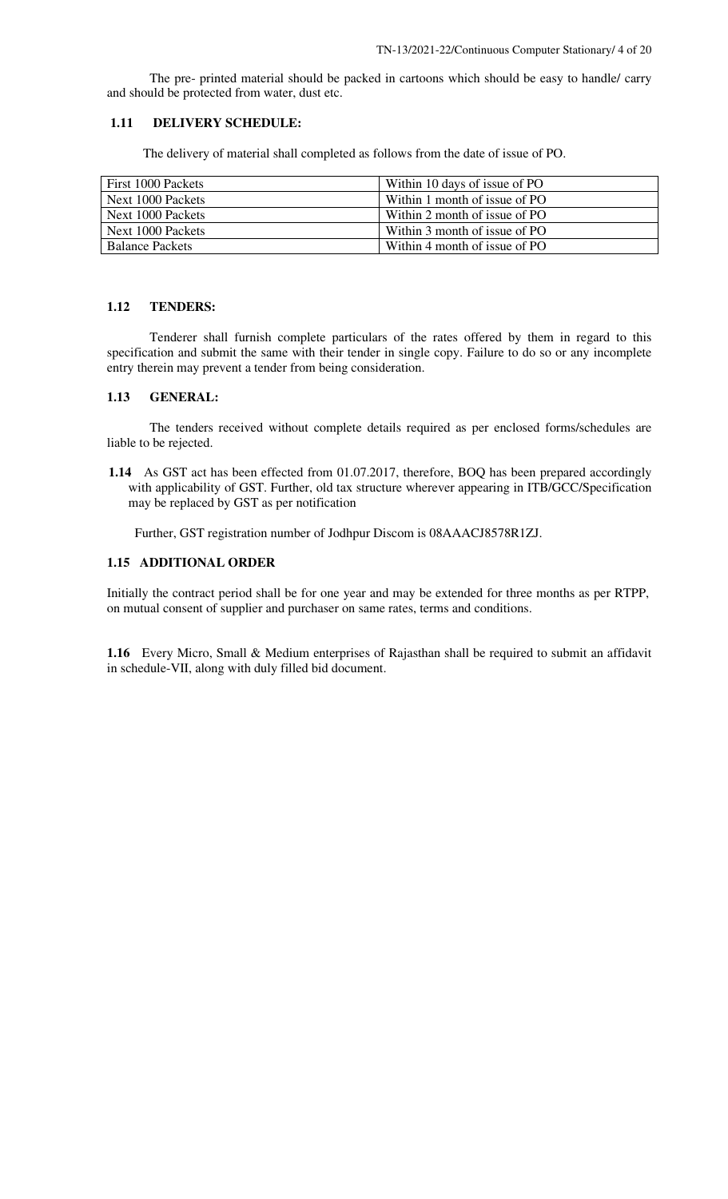The pre- printed material should be packed in cartoons which should be easy to handle/ carry and should be protected from water, dust etc.

#### **1.11 DELIVERY SCHEDULE:**

The delivery of material shall completed as follows from the date of issue of PO.

| First 1000 Packets     | Within 10 days of issue of PO |
|------------------------|-------------------------------|
| Next 1000 Packets      | Within 1 month of issue of PO |
| Next 1000 Packets      | Within 2 month of issue of PO |
| Next 1000 Packets      | Within 3 month of issue of PO |
| <b>Balance Packets</b> | Within 4 month of issue of PO |

#### **1.12 TENDERS:**

 Tenderer shall furnish complete particulars of the rates offered by them in regard to this specification and submit the same with their tender in single copy. Failure to do so or any incomplete entry therein may prevent a tender from being consideration.

### **1.13 GENERAL:**

 The tenders received without complete details required as per enclosed forms/schedules are liable to be rejected.

 **1.14** As GST act has been effected from 01.07.2017, therefore, BOQ has been prepared accordingly with applicability of GST. Further, old tax structure wherever appearing in ITB/GCC/Specification may be replaced by GST as per notification

Further, GST registration number of Jodhpur Discom is 08AAACJ8578R1ZJ.

#### **1.15 ADDITIONAL ORDER**

Initially the contract period shall be for one year and may be extended for three months as per RTPP, on mutual consent of supplier and purchaser on same rates, terms and conditions.

**1.16** Every Micro, Small & Medium enterprises of Rajasthan shall be required to submit an affidavit in schedule-VII, along with duly filled bid document.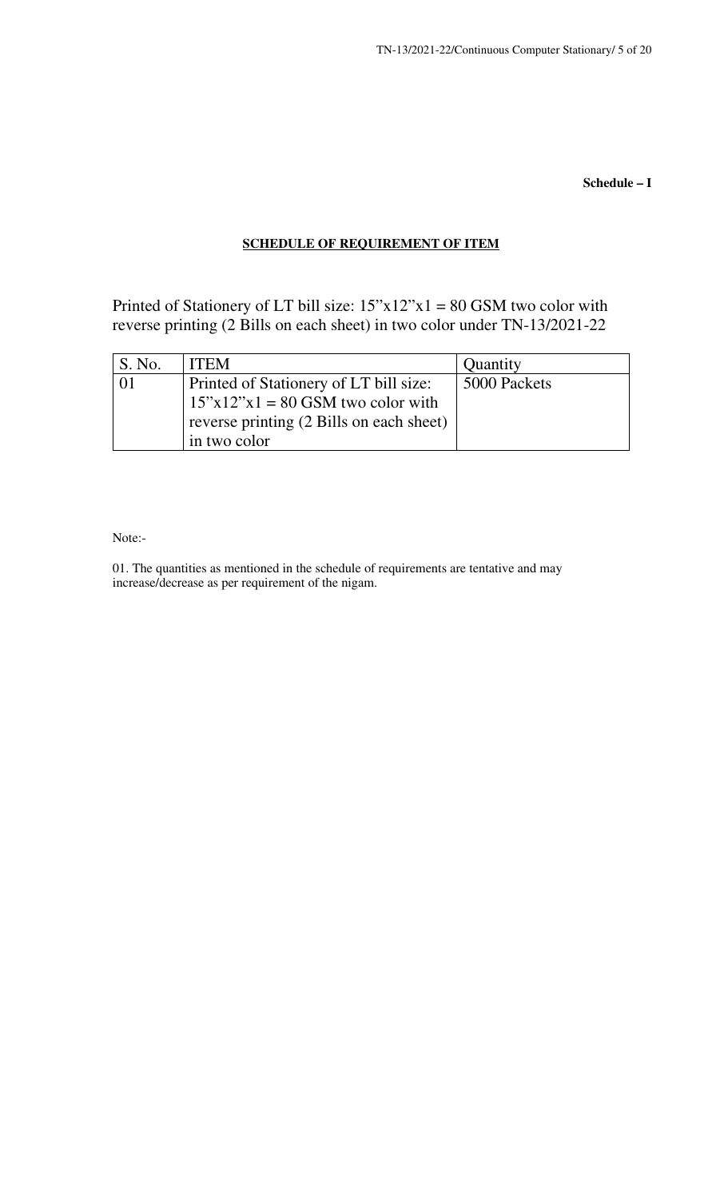**Schedule – I** 

### **SCHEDULE OF REQUIREMENT OF ITEM**

Printed of Stationery of LT bill size:  $15"x12"x1 = 80$  GSM two color with reverse printing (2 Bills on each sheet) in two color under TN-13/2021-22

| S. No. | <b>ITEM</b>                                                                                                                               | Quantity     |
|--------|-------------------------------------------------------------------------------------------------------------------------------------------|--------------|
|        | Printed of Stationery of LT bill size:<br>$15"x12"x1 = 80$ GSM two color with<br>reverse printing (2 Bills on each sheet)<br>in two color | 5000 Packets |

Note:-

01. The quantities as mentioned in the schedule of requirements are tentative and may increase/decrease as per requirement of the nigam.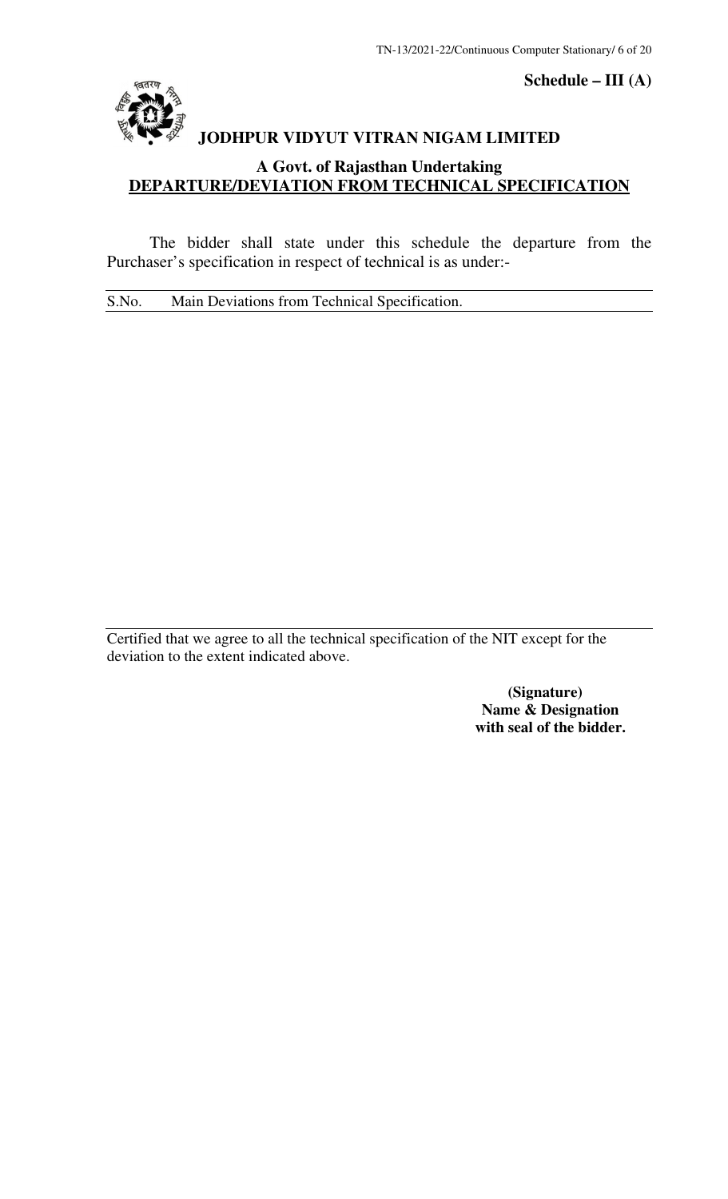

**Schedule – III (A)** 

# **JODHPUR VIDYUT VITRAN NIGAM LIMITED**

### **A Govt. of Rajasthan Undertaking DEPARTURE/DEVIATION FROM TECHNICAL SPECIFICATION**

 The bidder shall state under this schedule the departure from the Purchaser's specification in respect of technical is as under:-

S.No. Main Deviations from Technical Specification.

Certified that we agree to all the technical specification of the NIT except for the deviation to the extent indicated above.

> **(Signature) Name & Designation with seal of the bidder.**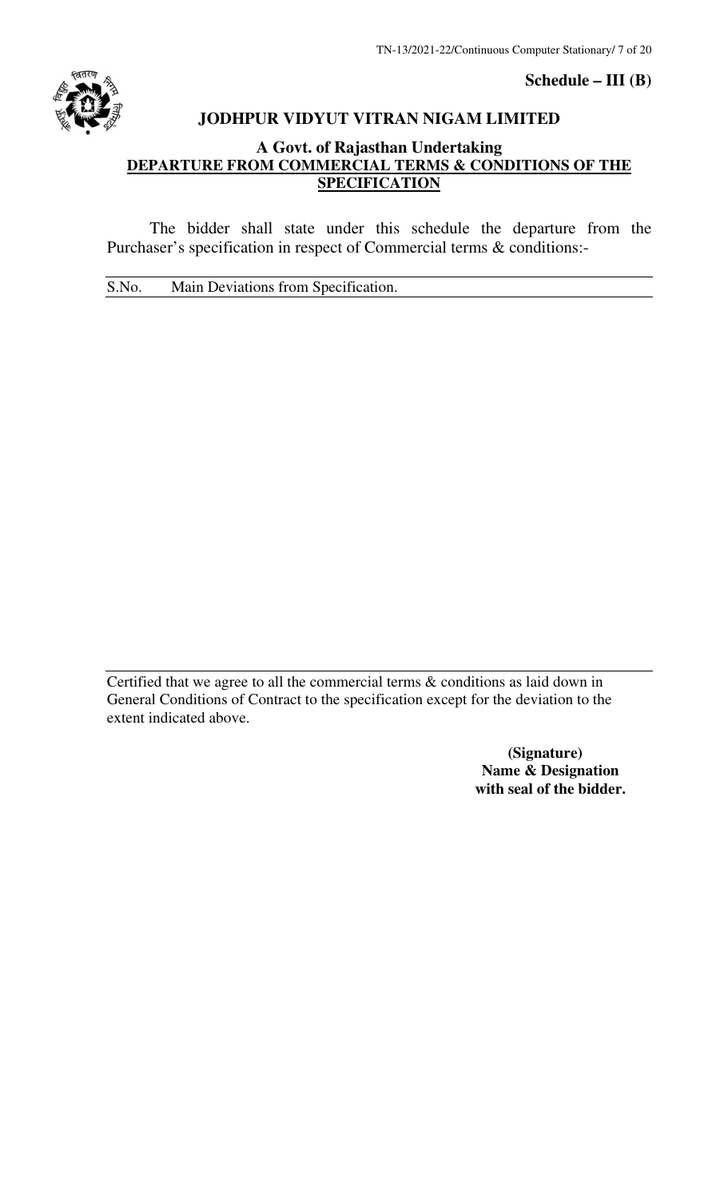

### **Schedule – III (B)**

### **JODHPUR VIDYUT VITRAN NIGAM LIMITED**

### **A Govt. of Rajasthan Undertaking DEPARTURE FROM COMMERCIAL TERMS & CONDITIONS OF THE SPECIFICATION**

 The bidder shall state under this schedule the departure from the Purchaser's specification in respect of Commercial terms & conditions:-

S.No. Main Deviations from Specification.

Certified that we agree to all the commercial terms & conditions as laid down in General Conditions of Contract to the specification except for the deviation to the extent indicated above.

> **(Signature) Name & Designation with seal of the bidder.**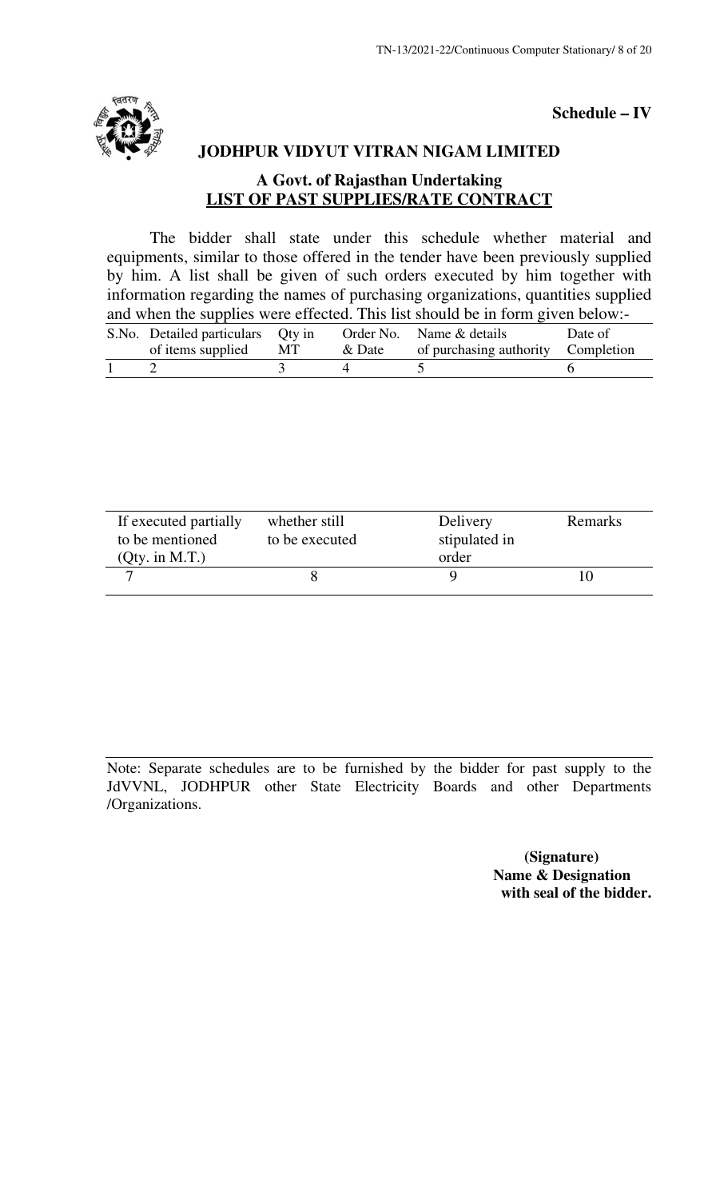

**Schedule – IV** 

## **JODHPUR VIDYUT VITRAN NIGAM LIMITED**

### **A Govt. of Rajasthan Undertaking LIST OF PAST SUPPLIES/RATE CONTRACT**

 The bidder shall state under this schedule whether material and equipments, similar to those offered in the tender have been previously supplied by him. A list shall be given of such orders executed by him together with information regarding the names of purchasing organizations, quantities supplied and when the supplies were effected. This list should be in form given below:-

| S.No. Detailed particulars Qty in |    |        | Order No. Name & details           | Date of |
|-----------------------------------|----|--------|------------------------------------|---------|
| of items supplied                 | MT | & Date | of purchasing authority Completion |         |
|                                   |    |        |                                    |         |

| If executed partially | whether still  | Delivery      | Remarks |
|-----------------------|----------------|---------------|---------|
| to be mentioned       | to be executed | stipulated in |         |
| (Qty. in M.T.)        |                | order         |         |
|                       |                |               |         |
|                       |                |               |         |

Note: Separate schedules are to be furnished by the bidder for past supply to the JdVVNL, JODHPUR other State Electricity Boards and other Departments /Organizations.

> **(Signature) Name & Designation with seal of the bidder.**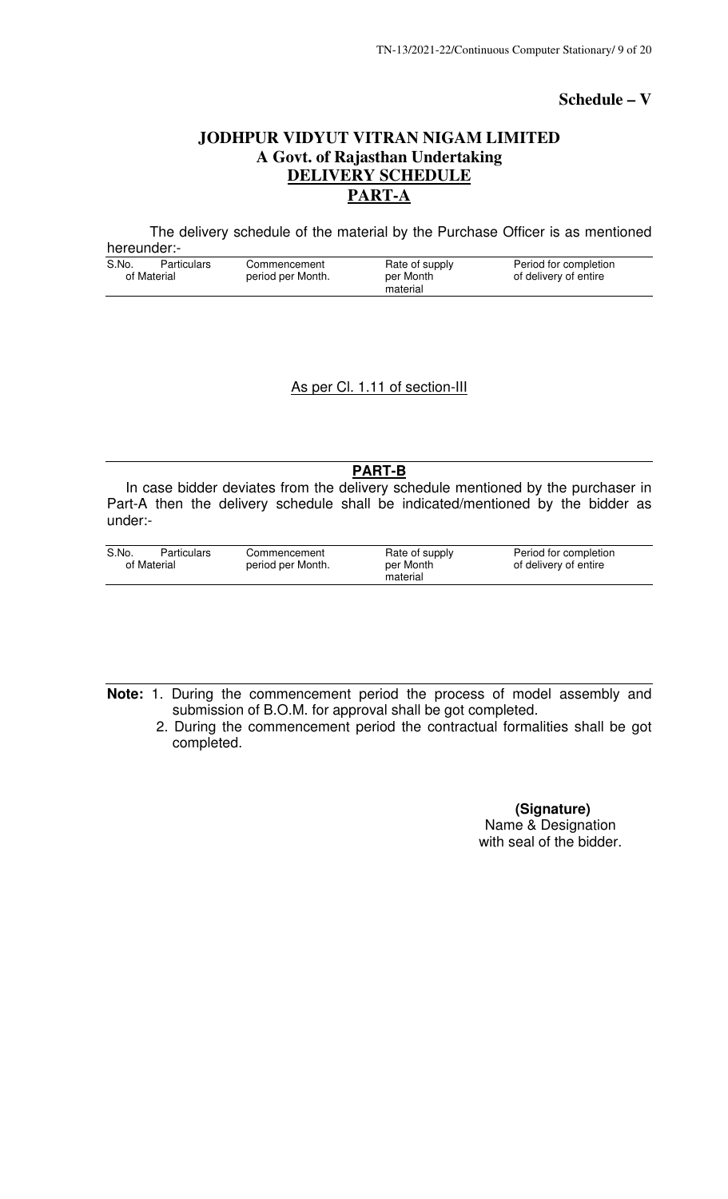### **Schedule – V**

### **JODHPUR VIDYUT VITRAN NIGAM LIMITED A Govt. of Rajasthan Undertaking DELIVERY SCHEDULE PART-A**

The delivery schedule of the material by the Purchase Officer is as mentioned hereunder:-

| S.No.       | Particulars | Commencement      | Rate of supply | Period for completion |
|-------------|-------------|-------------------|----------------|-----------------------|
| of Material |             | period per Month. | per Month      | of delivery of entire |
|             |             |                   | material       |                       |

### As per Cl. 1.11 of section-III

**PART-B** 

 In case bidder deviates from the delivery schedule mentioned by the purchaser in Part-A then the delivery schedule shall be indicated/mentioned by the bidder as under:-

| S.No.       | Particulars | Commencement      | Rate of supply | Period for completion |
|-------------|-------------|-------------------|----------------|-----------------------|
| of Material |             | period per Month. | per Month      | of delivery of entire |
|             |             |                   | material       |                       |

- **Note:** 1. During the commencement period the process of model assembly and submission of B.O.M. for approval shall be got completed.
	- 2. During the commencement period the contractual formalities shall be got completed.

 **(Signature)**  Name & Designation with seal of the bidder.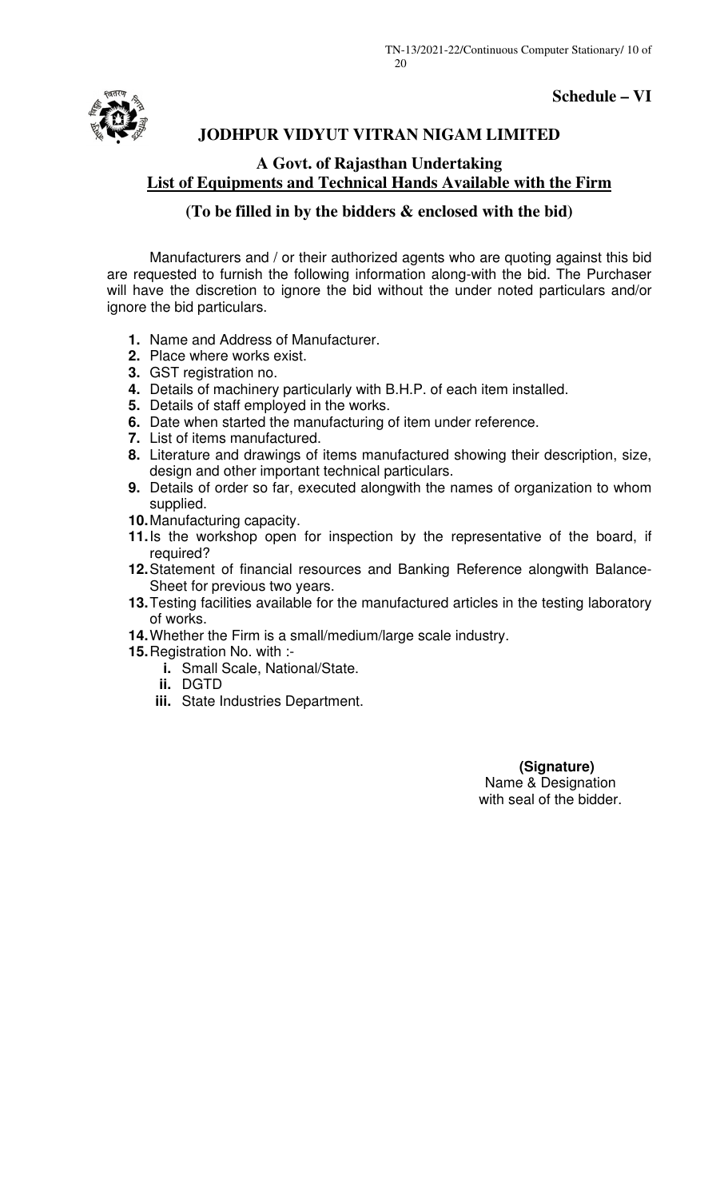



### **JODHPUR VIDYUT VITRAN NIGAM LIMITED**

### **A Govt. of Rajasthan Undertaking List of Equipments and Technical Hands Available with the Firm**

### **(To be filled in by the bidders & enclosed with the bid)**

Manufacturers and / or their authorized agents who are quoting against this bid are requested to furnish the following information along-with the bid. The Purchaser will have the discretion to ignore the bid without the under noted particulars and/or ignore the bid particulars.

- **1.** Name and Address of Manufacturer.
- **2.** Place where works exist.
- **3.** GST registration no.
- **4.** Details of machinery particularly with B.H.P. of each item installed.
- **5.** Details of staff employed in the works.
- **6.** Date when started the manufacturing of item under reference.
- **7.** List of items manufactured.
- **8.** Literature and drawings of items manufactured showing their description, size, design and other important technical particulars.
- **9.** Details of order so far, executed alongwith the names of organization to whom supplied.
- **10.** Manufacturing capacity.
- **11.** Is the workshop open for inspection by the representative of the board, if required?
- **12.** Statement of financial resources and Banking Reference alongwith Balance-Sheet for previous two years.
- 13. Testing facilities available for the manufactured articles in the testing laboratory of works.
- **14.** Whether the Firm is a small/medium/large scale industry.
- **15.** Registration No. with :
	- **i.** Small Scale, National/State.
		- **ii.** DGTD
	- **iii.** State Industries Department.

 **(Signature)**  Name & Designation with seal of the bidder.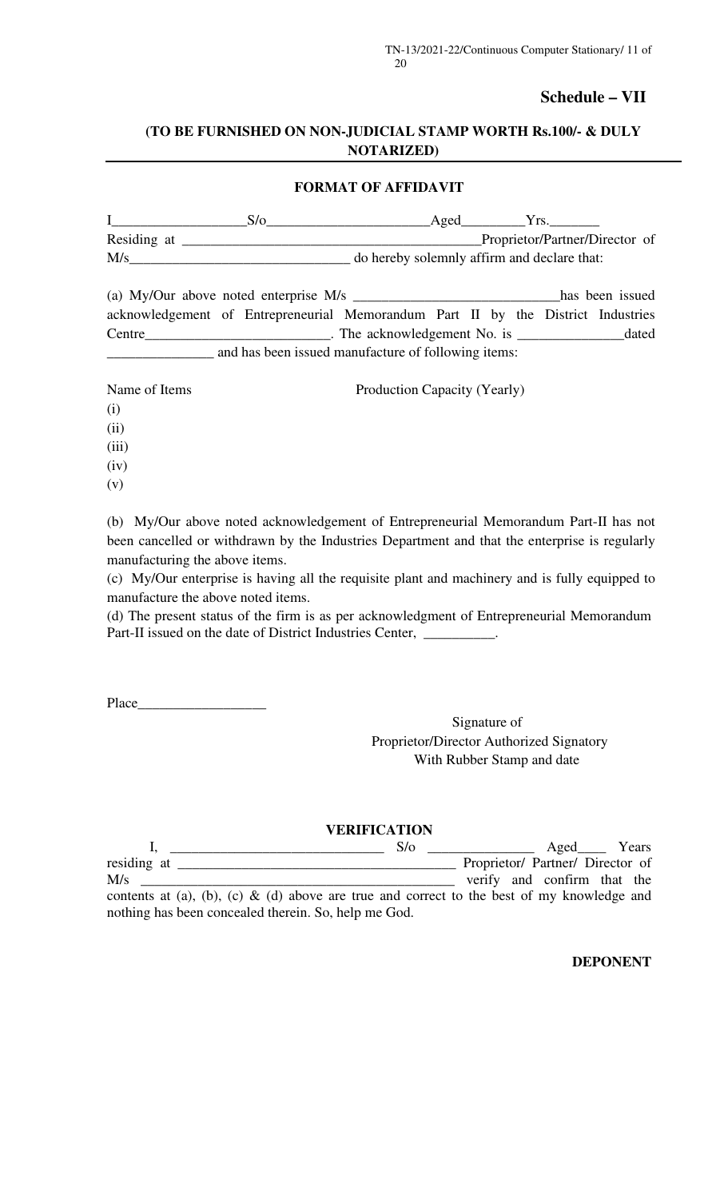### **Schedule – VII**

### **(TO BE FURNISHED ON NON-JUDICIAL STAMP WORTH Rs.100/- & DULY NOTARIZED)**

### **FORMAT OF AFFIDAVIT**

|             | Aged | Y rs                                        |
|-------------|------|---------------------------------------------|
| Residing at |      | Proprietor/Partner/Director of              |
| M/s         |      | do hereby solemnly affirm and declare that: |

| (a) My/Our above noted enterprise M/s                                            |  |  |                              |  |  |  | has been issued |
|----------------------------------------------------------------------------------|--|--|------------------------------|--|--|--|-----------------|
| acknowledgement of Entrepreneurial Memorandum Part II by the District Industries |  |  |                              |  |  |  |                 |
| Centre                                                                           |  |  | . The acknowledgement No. is |  |  |  | dated           |
| and has been issued manufacture of following items:                              |  |  |                              |  |  |  |                 |

| Name of Items | Production Capacity (Yearly) |
|---------------|------------------------------|
| (i)           |                              |
| (ii)          |                              |
| (iii)         |                              |
| (iv)          |                              |
| (v)           |                              |

(b) My/Our above noted acknowledgement of Entrepreneurial Memorandum Part-II has not been cancelled or withdrawn by the Industries Department and that the enterprise is regularly manufacturing the above items.

(c) My/Our enterprise is having all the requisite plant and machinery and is fully equipped to manufacture the above noted items.

(d) The present status of the firm is as per acknowledgment of Entrepreneurial Memorandum Part-II issued on the date of District Industries Center, \_\_\_\_\_\_\_\_\_\_.

Place\_\_\_\_

Signature of Proprietor/Director Authorized Signatory With Rubber Stamp and date

### **VERIFICATION**

|                                                                                            | $S/\sigma$ |                                  | Aged Years |  |
|--------------------------------------------------------------------------------------------|------------|----------------------------------|------------|--|
| residing at                                                                                |            | Proprietor/ Partner/ Director of |            |  |
| M/s                                                                                        |            | verify and confirm that the      |            |  |
| contents at (a), (b), (c) & (d) above are true and correct to the best of my knowledge and |            |                                  |            |  |
| nothing has been concealed therein. So, help me God.                                       |            |                                  |            |  |

**DEPONENT**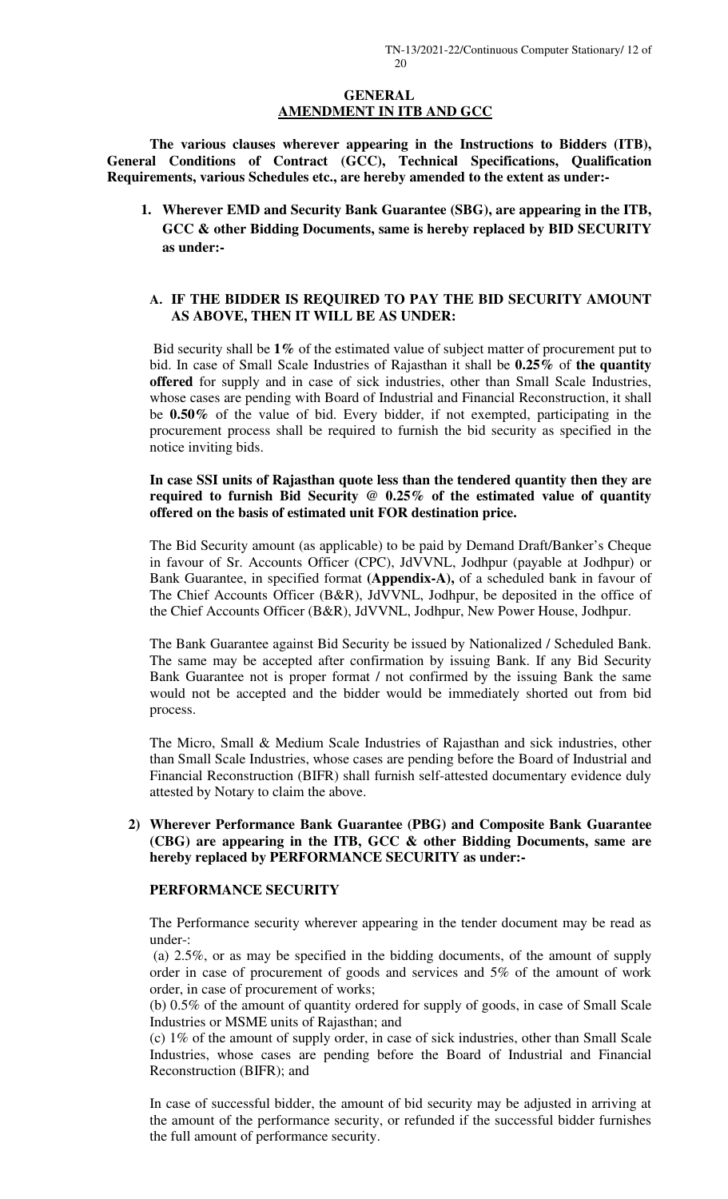### **GENERAL AMENDMENT IN ITB AND GCC**

**The various clauses wherever appearing in the Instructions to Bidders (ITB), General Conditions of Contract (GCC), Technical Specifications, Qualification Requirements, various Schedules etc., are hereby amended to the extent as under:-** 

**1. Wherever EMD and Security Bank Guarantee (SBG), are appearing in the ITB, GCC & other Bidding Documents, same is hereby replaced by BID SECURITY as under:-** 

### **A. IF THE BIDDER IS REQUIRED TO PAY THE BID SECURITY AMOUNT AS ABOVE, THEN IT WILL BE AS UNDER:**

 Bid security shall be **1%** of the estimated value of subject matter of procurement put to bid. In case of Small Scale Industries of Rajasthan it shall be **0.25%** of **the quantity offered** for supply and in case of sick industries, other than Small Scale Industries, whose cases are pending with Board of Industrial and Financial Reconstruction, it shall be **0.50%** of the value of bid. Every bidder, if not exempted, participating in the procurement process shall be required to furnish the bid security as specified in the notice inviting bids.

### **In case SSI units of Rajasthan quote less than the tendered quantity then they are required to furnish Bid Security @ 0.25% of the estimated value of quantity offered on the basis of estimated unit FOR destination price.**

The Bid Security amount (as applicable) to be paid by Demand Draft/Banker's Cheque in favour of Sr. Accounts Officer (CPC), JdVVNL, Jodhpur (payable at Jodhpur) or Bank Guarantee, in specified format **(Appendix-A),** of a scheduled bank in favour of The Chief Accounts Officer (B&R), JdVVNL, Jodhpur, be deposited in the office of the Chief Accounts Officer (B&R), JdVVNL, Jodhpur, New Power House, Jodhpur.

The Bank Guarantee against Bid Security be issued by Nationalized / Scheduled Bank. The same may be accepted after confirmation by issuing Bank. If any Bid Security Bank Guarantee not is proper format / not confirmed by the issuing Bank the same would not be accepted and the bidder would be immediately shorted out from bid process.

The Micro, Small & Medium Scale Industries of Rajasthan and sick industries, other than Small Scale Industries, whose cases are pending before the Board of Industrial and Financial Reconstruction (BIFR) shall furnish self-attested documentary evidence duly attested by Notary to claim the above.

### **2) Wherever Performance Bank Guarantee (PBG) and Composite Bank Guarantee (CBG) are appearing in the ITB, GCC & other Bidding Documents, same are hereby replaced by PERFORMANCE SECURITY as under:-**

### **PERFORMANCE SECURITY**

The Performance security wherever appearing in the tender document may be read as under-:

 (a) 2.5%, or as may be specified in the bidding documents, of the amount of supply order in case of procurement of goods and services and 5% of the amount of work order, in case of procurement of works;

(b) 0.5% of the amount of quantity ordered for supply of goods, in case of Small Scale Industries or MSME units of Rajasthan; and

(c) 1% of the amount of supply order, in case of sick industries, other than Small Scale Industries, whose cases are pending before the Board of Industrial and Financial Reconstruction (BIFR); and

In case of successful bidder, the amount of bid security may be adjusted in arriving at the amount of the performance security, or refunded if the successful bidder furnishes the full amount of performance security.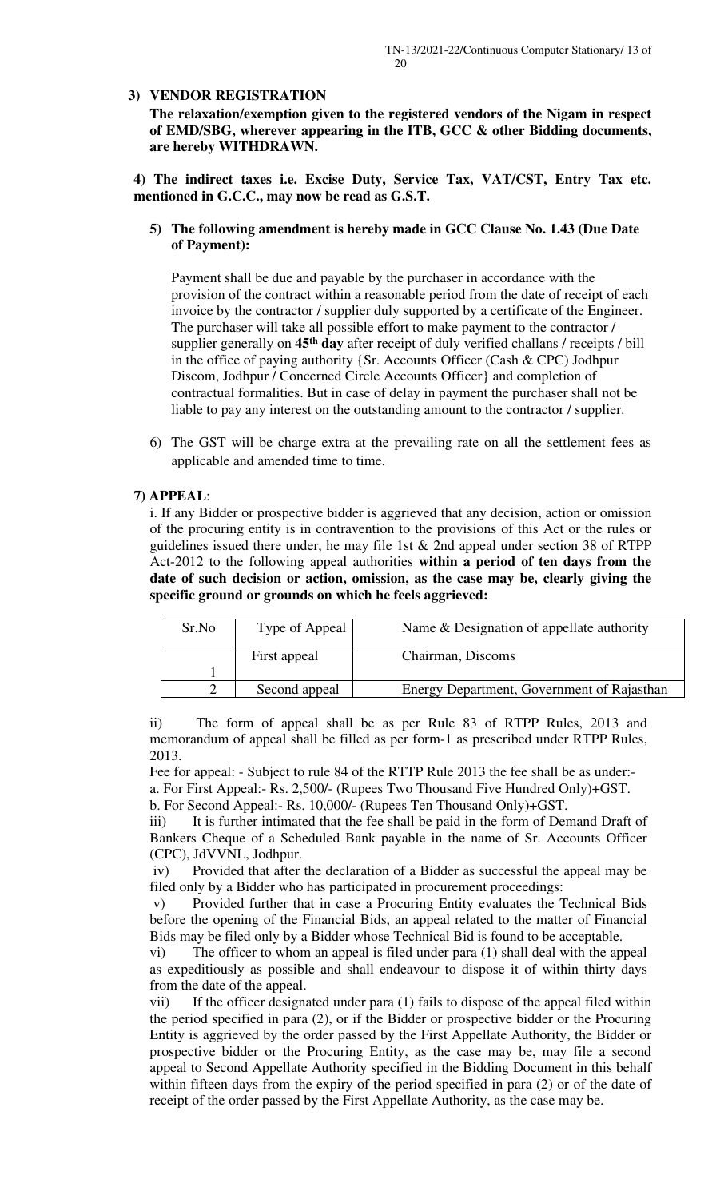### **3) VENDOR REGISTRATION**

**The relaxation/exemption given to the registered vendors of the Nigam in respect of EMD/SBG, wherever appearing in the ITB, GCC & other Bidding documents, are hereby WITHDRAWN.** 

**4) The indirect taxes i.e. Excise Duty, Service Tax, VAT/CST, Entry Tax etc. mentioned in G.C.C., may now be read as G.S.T.** 

### **5) The following amendment is hereby made in GCC Clause No. 1.43 (Due Date of Payment):**

Payment shall be due and payable by the purchaser in accordance with the provision of the contract within a reasonable period from the date of receipt of each invoice by the contractor / supplier duly supported by a certificate of the Engineer. The purchaser will take all possible effort to make payment to the contractor / supplier generally on **45th day** after receipt of duly verified challans / receipts / bill in the office of paying authority {Sr. Accounts Officer (Cash & CPC) Jodhpur Discom, Jodhpur / Concerned Circle Accounts Officer} and completion of contractual formalities. But in case of delay in payment the purchaser shall not be liable to pay any interest on the outstanding amount to the contractor / supplier.

6) The GST will be charge extra at the prevailing rate on all the settlement fees as applicable and amended time to time.

### **7) APPEAL**:

i. If any Bidder or prospective bidder is aggrieved that any decision, action or omission of the procuring entity is in contravention to the provisions of this Act or the rules or guidelines issued there under, he may file 1st  $&$  2nd appeal under section 38 of RTPP Act-2012 to the following appeal authorities **within a period of ten days from the date of such decision or action, omission, as the case may be, clearly giving the specific ground or grounds on which he feels aggrieved:** 

| Sr.No | Type of Appeal | Name & Designation of appellate authority  |
|-------|----------------|--------------------------------------------|
|       | First appeal   | Chairman, Discoms                          |
|       |                |                                            |
|       | Second appeal  | Energy Department, Government of Rajasthan |

ii) The form of appeal shall be as per Rule 83 of RTPP Rules, 2013 and memorandum of appeal shall be filled as per form-1 as prescribed under RTPP Rules, 2013.

Fee for appeal: - Subject to rule 84 of the RTTP Rule 2013 the fee shall be as under: a. For First Appeal:- Rs. 2,500/- (Rupees Two Thousand Five Hundred Only)+GST.

b. For Second Appeal:- Rs. 10,000/- (Rupees Ten Thousand Only)+GST.

iii) It is further intimated that the fee shall be paid in the form of Demand Draft of Bankers Cheque of a Scheduled Bank payable in the name of Sr. Accounts Officer (CPC), JdVVNL, Jodhpur.

 iv) Provided that after the declaration of a Bidder as successful the appeal may be filed only by a Bidder who has participated in procurement proceedings:

 v) Provided further that in case a Procuring Entity evaluates the Technical Bids before the opening of the Financial Bids, an appeal related to the matter of Financial Bids may be filed only by a Bidder whose Technical Bid is found to be acceptable.

vi) The officer to whom an appeal is filed under para (1) shall deal with the appeal as expeditiously as possible and shall endeavour to dispose it of within thirty days from the date of the appeal.

vii) If the officer designated under para (1) fails to dispose of the appeal filed within the period specified in para (2), or if the Bidder or prospective bidder or the Procuring Entity is aggrieved by the order passed by the First Appellate Authority, the Bidder or prospective bidder or the Procuring Entity, as the case may be, may file a second appeal to Second Appellate Authority specified in the Bidding Document in this behalf within fifteen days from the expiry of the period specified in para (2) or of the date of receipt of the order passed by the First Appellate Authority, as the case may be.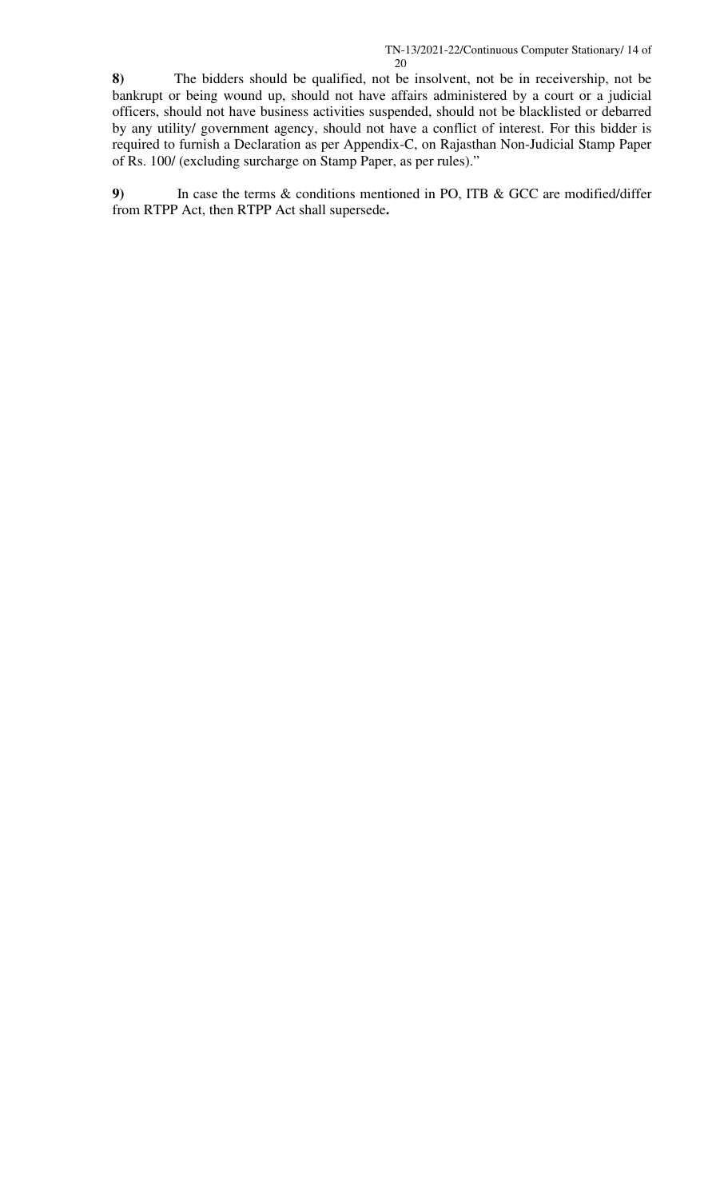**8)** The bidders should be qualified, not be insolvent, not be in receivership, not be bankrupt or being wound up, should not have affairs administered by a court or a judicial officers, should not have business activities suspended, should not be blacklisted or debarred by any utility/ government agency, should not have a conflict of interest. For this bidder is required to furnish a Declaration as per Appendix-C, on Rajasthan Non-Judicial Stamp Paper of Rs. 100/ (excluding surcharge on Stamp Paper, as per rules)."

**9)** In case the terms & conditions mentioned in PO, ITB & GCC are modified/differ from RTPP Act, then RTPP Act shall supersede**.**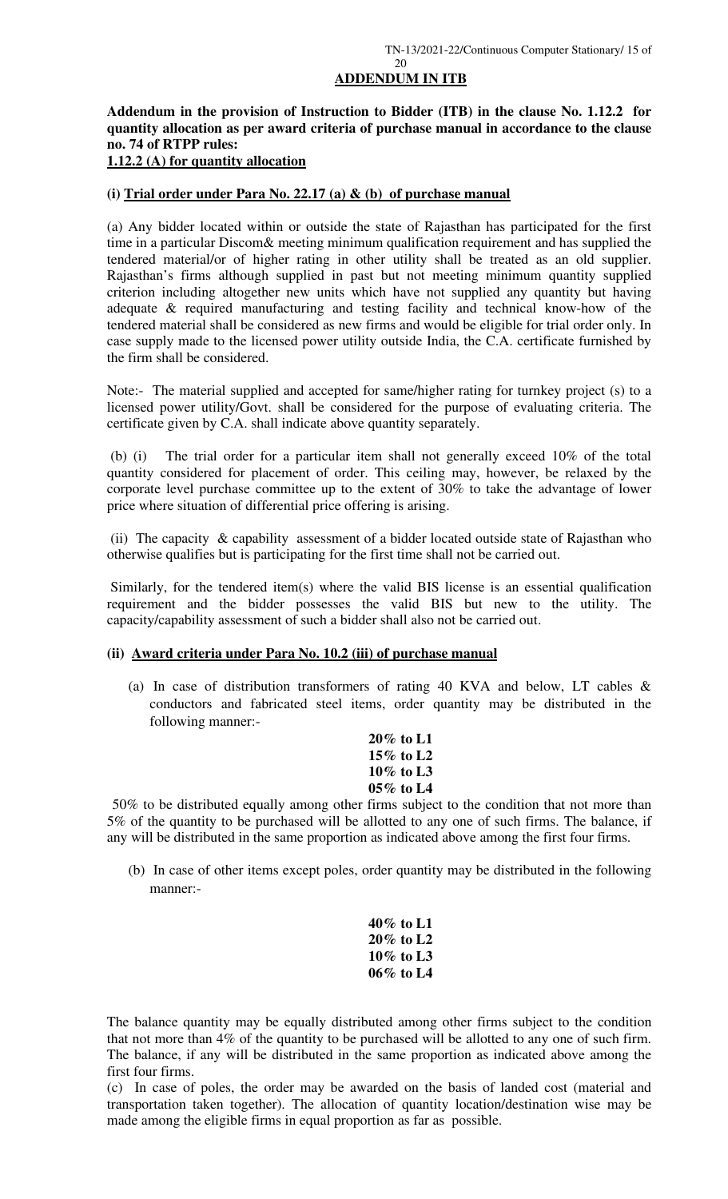### **ADDENDUM IN ITB**

**Addendum in the provision of Instruction to Bidder (ITB) in the clause No. 1.12.2 for quantity allocation as per award criteria of purchase manual in accordance to the clause no. 74 of RTPP rules:** 

### **1.12.2 (A) for quantity allocation**

### **(i) Trial order under Para No. 22.17 (a) & (b) of purchase manual**

(a) Any bidder located within or outside the state of Rajasthan has participated for the first time in a particular Discom& meeting minimum qualification requirement and has supplied the tendered material/or of higher rating in other utility shall be treated as an old supplier. Rajasthan's firms although supplied in past but not meeting minimum quantity supplied criterion including altogether new units which have not supplied any quantity but having adequate & required manufacturing and testing facility and technical know-how of the tendered material shall be considered as new firms and would be eligible for trial order only. In case supply made to the licensed power utility outside India, the C.A. certificate furnished by the firm shall be considered.

Note:- The material supplied and accepted for same/higher rating for turnkey project (s) to a licensed power utility/Govt. shall be considered for the purpose of evaluating criteria. The certificate given by C.A. shall indicate above quantity separately.

 (b) (i) The trial order for a particular item shall not generally exceed 10% of the total quantity considered for placement of order. This ceiling may, however, be relaxed by the corporate level purchase committee up to the extent of 30% to take the advantage of lower price where situation of differential price offering is arising.

 (ii) The capacity & capability assessment of a bidder located outside state of Rajasthan who otherwise qualifies but is participating for the first time shall not be carried out.

 Similarly, for the tendered item(s) where the valid BIS license is an essential qualification requirement and the bidder possesses the valid BIS but new to the utility. The capacity/capability assessment of such a bidder shall also not be carried out.

### **(ii) Award criteria under Para No. 10.2 (iii) of purchase manual**

(a) In case of distribution transformers of rating 40 KVA and below, LT cables & conductors and fabricated steel items, order quantity may be distributed in the following manner:-

| 20% to L1    |
|--------------|
| 15% to L2    |
| $10\%$ to L3 |
| 05% to L4    |

50% to be distributed equally among other firms subject to the condition that not more than 5% of the quantity to be purchased will be allotted to any one of such firms. The balance, if any will be distributed in the same proportion as indicated above among the first four firms.

(b) In case of other items except poles, order quantity may be distributed in the following manner:-

| 40% to L1    |
|--------------|
| 20% to L2    |
| $10\%$ to L3 |
| 06% to L4    |

The balance quantity may be equally distributed among other firms subject to the condition that not more than 4% of the quantity to be purchased will be allotted to any one of such firm. The balance, if any will be distributed in the same proportion as indicated above among the first four firms.

(c) In case of poles, the order may be awarded on the basis of landed cost (material and transportation taken together). The allocation of quantity location/destination wise may be made among the eligible firms in equal proportion as far as possible.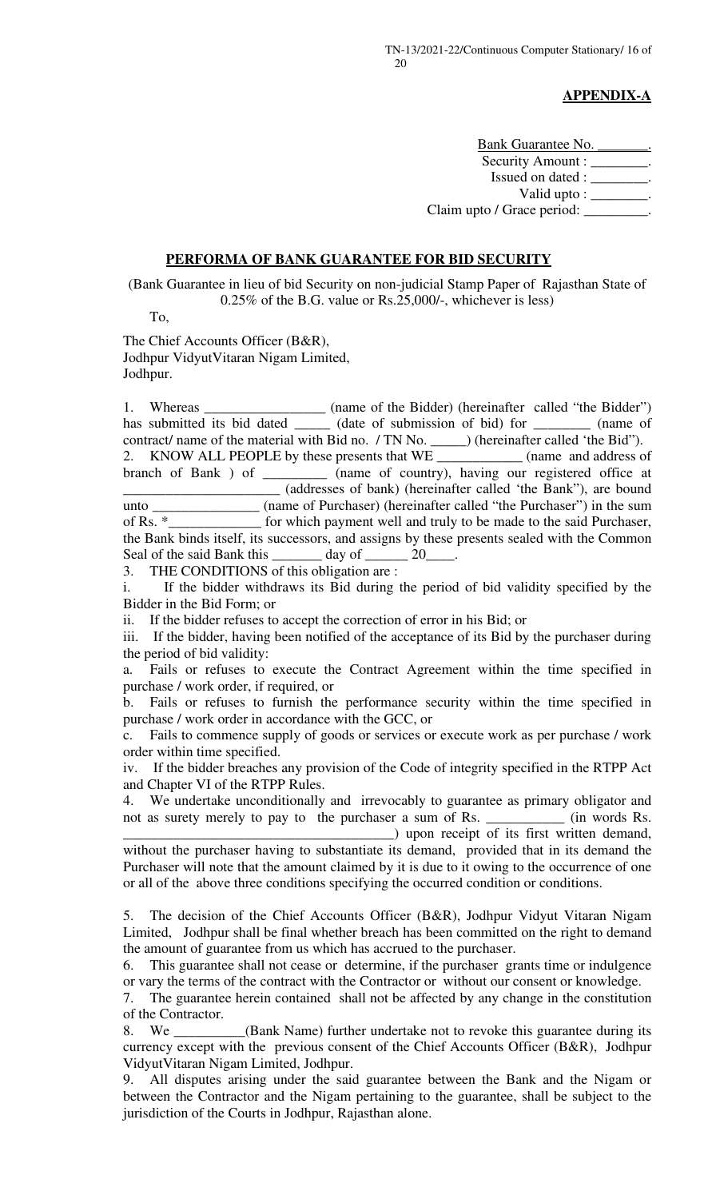### **APPENDIX-A**

Bank Guarantee No. Security Amount : \_\_\_\_\_\_\_. Issued on dated : \_\_\_\_\_\_\_\_. Valid upto : \_\_\_\_\_\_\_\_. Claim upto / Grace period: \_\_\_\_\_\_\_\_\_.

### **PERFORMA OF BANK GUARANTEE FOR BID SECURITY**

(Bank Guarantee in lieu of bid Security on non-judicial Stamp Paper of Rajasthan State of 0.25% of the B.G. value or Rs.25,000/-, whichever is less)

To,

The Chief Accounts Officer (B&R), Jodhpur VidyutVitaran Nigam Limited, Jodhpur.

1. Whereas \_\_\_\_\_\_\_\_\_\_\_\_\_\_\_\_\_\_ (name of the Bidder) (hereinafter called "the Bidder") has submitted its bid dated \_\_\_\_\_\_\_ (date of submission of bid) for \_\_\_\_\_\_\_\_\_\_ (name of contract/ name of the material with Bid no. / TN No. \_\_\_\_\_) (hereinafter called 'the Bid"). 2. KNOW ALL PEOPLE by these presents that WE \_\_\_\_\_\_\_\_\_\_\_\_ (name and address of branch of Bank ) of \_\_\_\_\_\_\_\_\_\_ (name of country), having our registered office at \_\_\_\_\_\_\_\_\_\_\_\_\_\_\_\_\_\_\_\_\_\_ (addresses of bank) (hereinafter called 'the Bank"), are bound unto \_\_\_\_\_\_\_\_\_\_\_\_\_\_\_ (name of Purchaser) (hereinafter called "the Purchaser") in the sum of Rs. \*\_\_\_\_\_\_\_\_\_\_\_\_\_ for which payment well and truly to be made to the said Purchaser, the Bank binds itself, its successors, and assigns by these presents sealed with the Common Seal of the said Bank this \_\_\_\_\_\_\_ day of \_\_\_\_\_\_ 20\_\_\_\_.

3. THE CONDITIONS of this obligation are :

i. If the bidder withdraws its Bid during the period of bid validity specified by the Bidder in the Bid Form; or

ii. If the bidder refuses to accept the correction of error in his Bid; or

iii. If the bidder, having been notified of the acceptance of its Bid by the purchaser during the period of bid validity:

a. Fails or refuses to execute the Contract Agreement within the time specified in purchase / work order, if required, or

b. Fails or refuses to furnish the performance security within the time specified in purchase / work order in accordance with the GCC, or

c. Fails to commence supply of goods or services or execute work as per purchase / work order within time specified.

iv. If the bidder breaches any provision of the Code of integrity specified in the RTPP Act and Chapter VI of the RTPP Rules.

4. We undertake unconditionally and irrevocably to guarantee as primary obligator and not as surety merely to pay to the purchaser a sum of Rs. \_\_\_\_\_\_\_\_\_\_\_ (in words Rs.

\_\_\_\_\_\_\_\_\_\_\_\_\_\_\_\_\_\_\_\_\_\_\_\_\_\_\_\_\_\_\_\_\_\_\_\_\_\_) upon receipt of its first written demand, without the purchaser having to substantiate its demand, provided that in its demand the Purchaser will note that the amount claimed by it is due to it owing to the occurrence of one or all of the above three conditions specifying the occurred condition or conditions.

5. The decision of the Chief Accounts Officer (B&R), Jodhpur Vidyut Vitaran Nigam Limited, Jodhpur shall be final whether breach has been committed on the right to demand the amount of guarantee from us which has accrued to the purchaser.

6. This guarantee shall not cease or determine, if the purchaser grants time or indulgence or vary the terms of the contract with the Contractor or without our consent or knowledge.

7. The guarantee herein contained shall not be affected by any change in the constitution of the Contractor.

8. We \_\_\_\_\_\_\_\_\_\_(Bank Name) further undertake not to revoke this guarantee during its currency except with the previous consent of the Chief Accounts Officer (B&R), Jodhpur VidyutVitaran Nigam Limited, Jodhpur.

9. All disputes arising under the said guarantee between the Bank and the Nigam or between the Contractor and the Nigam pertaining to the guarantee, shall be subject to the jurisdiction of the Courts in Jodhpur, Rajasthan alone.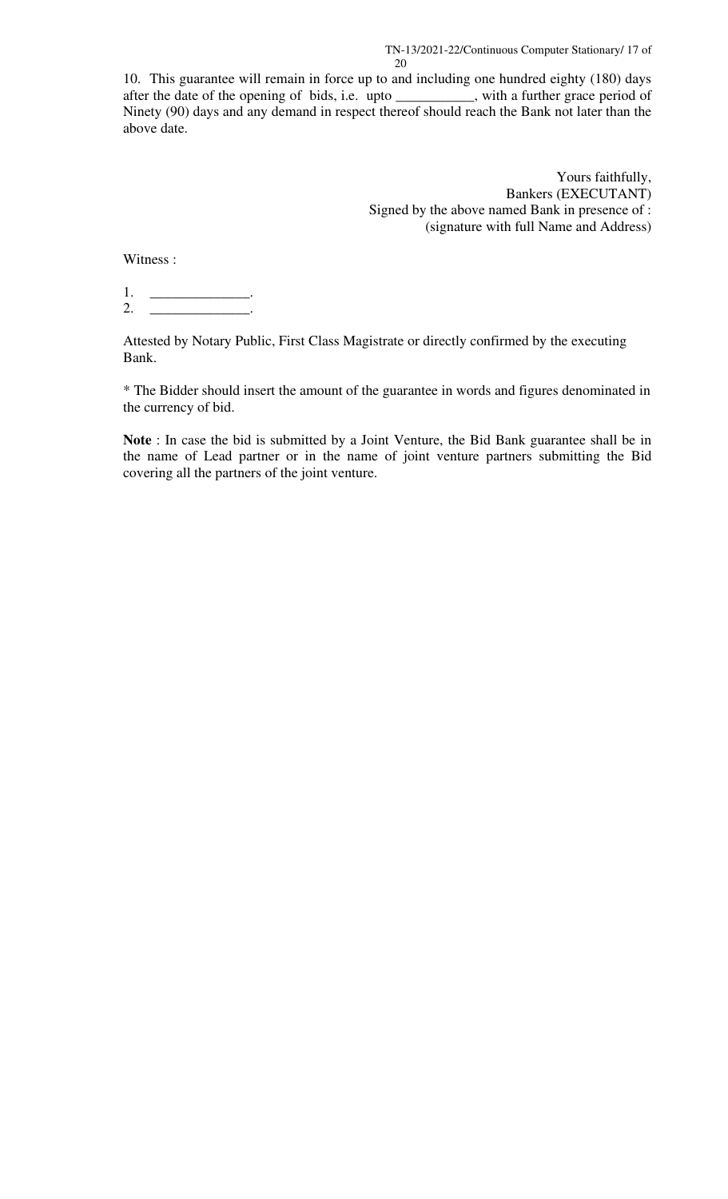10. This guarantee will remain in force up to and including one hundred eighty (180) days after the date of the opening of bids, i.e. upto \_\_\_\_\_\_\_\_\_\_\_, with a further grace period of after the date of the opening of bids, i.e. upto \_\_\_\_\_\_\_ Ninety (90) days and any demand in respect thereof should reach the Bank not later than the above date.

> Yours faithfully, Bankers (EXECUTANT) Signed by the above named Bank in presence of : (signature with full Name and Address)

Witness :

1. \_\_\_\_\_\_\_\_\_\_\_\_\_\_\_\_\_\_\_\_\_. 2. \_\_\_\_\_\_\_\_\_\_\_\_\_\_\_\_\_\_\_\_\_.

Attested by Notary Public, First Class Magistrate or directly confirmed by the executing Bank.

\* The Bidder should insert the amount of the guarantee in words and figures denominated in the currency of bid.

**Note** : In case the bid is submitted by a Joint Venture, the Bid Bank guarantee shall be in the name of Lead partner or in the name of joint venture partners submitting the Bid covering all the partners of the joint venture.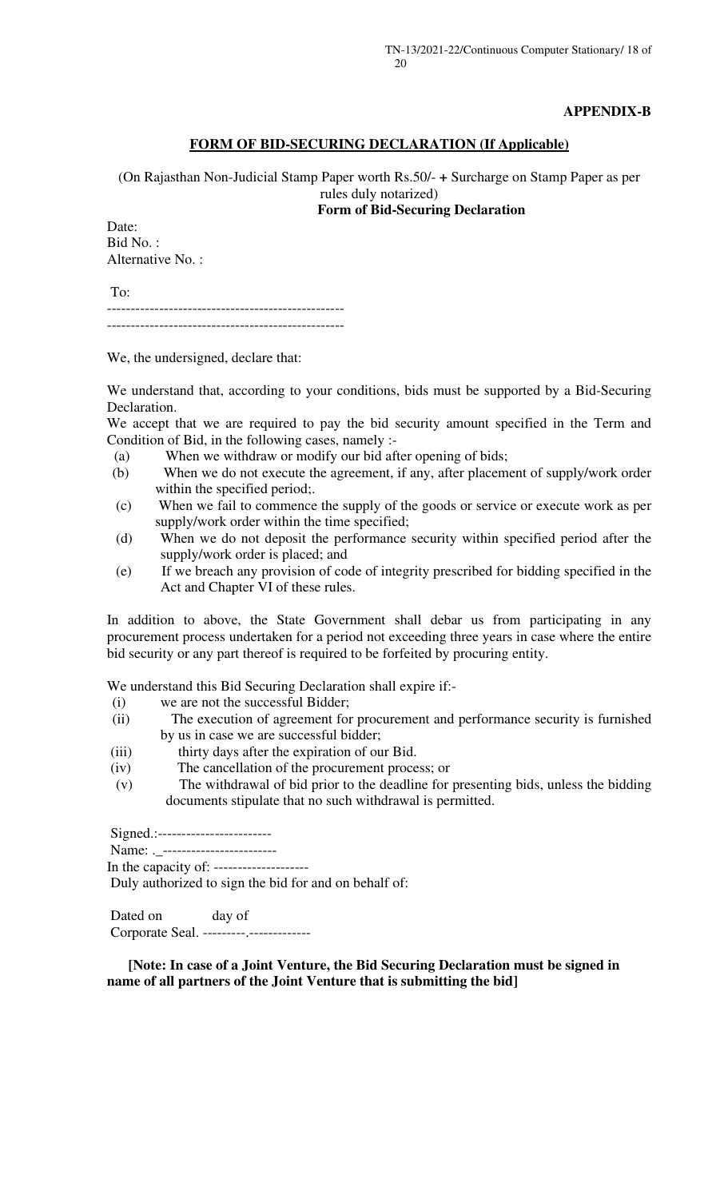### **APPENDIX-B**

### **FORM OF BID-SECURING DECLARATION (If Applicable)**

(On Rajasthan Non-Judicial Stamp Paper worth Rs.50/- **+** Surcharge on Stamp Paper as per rules duly notarized)

**Form of Bid-Securing Declaration** 

Date: Bid No. : Alternative No. :

 To: --------------------------------------------------

--------------------------------------------------

We, the undersigned, declare that:

We understand that, according to your conditions, bids must be supported by a Bid-Securing Declaration.

We accept that we are required to pay the bid security amount specified in the Term and Condition of Bid, in the following cases, namely :-

- (a) When we withdraw or modify our bid after opening of bids;
- (b) When we do not execute the agreement, if any, after placement of supply/work order within the specified period;.
- (c) When we fail to commence the supply of the goods or service or execute work as per supply/work order within the time specified;
- (d) When we do not deposit the performance security within specified period after the supply/work order is placed; and
- (e) If we breach any provision of code of integrity prescribed for bidding specified in the Act and Chapter VI of these rules.

In addition to above, the State Government shall debar us from participating in any procurement process undertaken for a period not exceeding three years in case where the entire bid security or any part thereof is required to be forfeited by procuring entity.

We understand this Bid Securing Declaration shall expire if:-

- (i) we are not the successful Bidder;
- (ii) The execution of agreement for procurement and performance security is furnished by us in case we are successful bidder;
- (iii) thirty days after the expiration of our Bid.
- (iv) The cancellation of the procurement process; or
- (v) The withdrawal of bid prior to the deadline for presenting bids, unless the bidding documents stipulate that no such withdrawal is permitted.

Signed.:-------------------------

Name: . ------------------------

In the capacity of: --------------------

Duly authorized to sign the bid for and on behalf of:

Dated on day of Corporate Seal. ---------.-------------

 **[Note: In case of a Joint Venture, the Bid Securing Declaration must be signed in name of all partners of the Joint Venture that is submitting the bid]**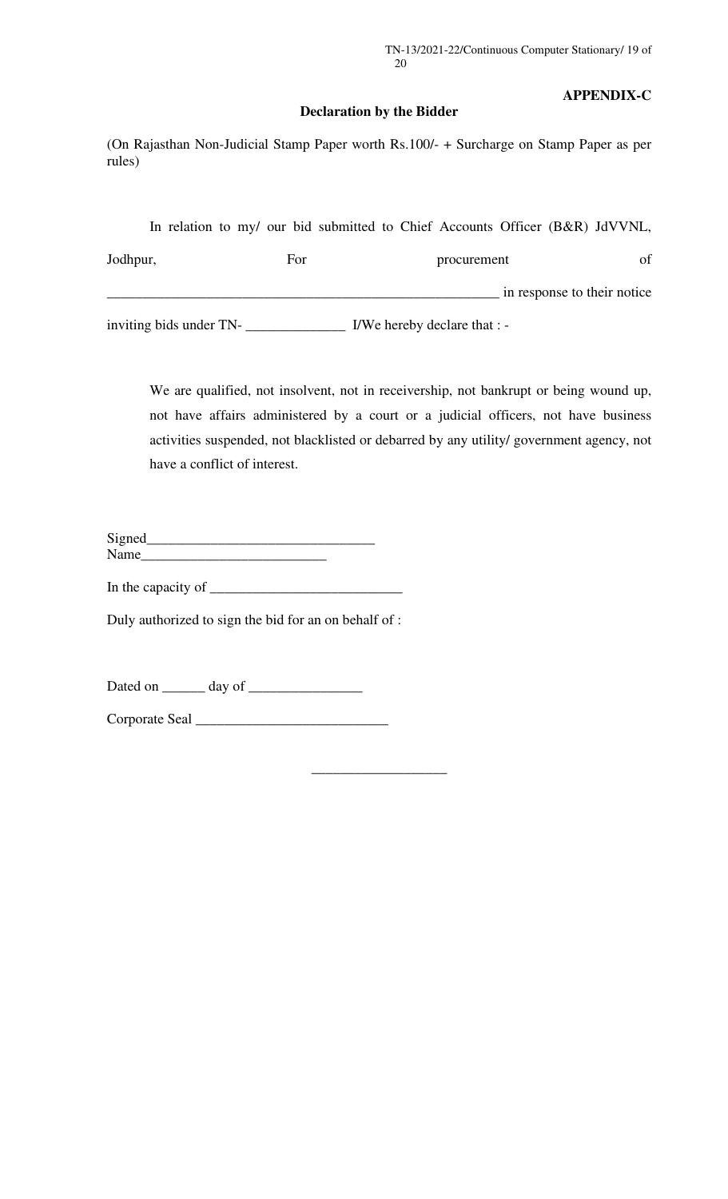### **APPENDIX-C**

### **Declaration by the Bidder**

(On Rajasthan Non-Judicial Stamp Paper worth Rs.100/- + Surcharge on Stamp Paper as per rules)

| inviting bids under TN- |     | I/We hereby declare that : -                                                 |    |  |
|-------------------------|-----|------------------------------------------------------------------------------|----|--|
|                         |     | in response to their notice.                                                 |    |  |
| Jodhpur,                | For | procurement                                                                  | of |  |
|                         |     | In relation to my/ our bid submitted to Chief Accounts Officer (B&R) JdVVNL, |    |  |

We are qualified, not insolvent, not in receivership, not bankrupt or being wound up, not have affairs administered by a court or a judicial officers, not have business activities suspended, not blacklisted or debarred by any utility/ government agency, not have a conflict of interest.

**\_\_\_\_\_\_\_\_\_\_\_\_\_\_\_\_\_\_\_** 

| Signed |  |  |
|--------|--|--|
| Name   |  |  |

In the capacity of  $\overline{\qquad \qquad }$ 

Duly authorized to sign the bid for an on behalf of :

Dated on \_\_\_\_\_\_ day of \_\_\_\_\_\_\_\_\_\_\_\_\_\_\_\_

Corporate Seal \_\_\_\_\_\_\_\_\_\_\_\_\_\_\_\_\_\_\_\_\_\_\_\_\_\_\_